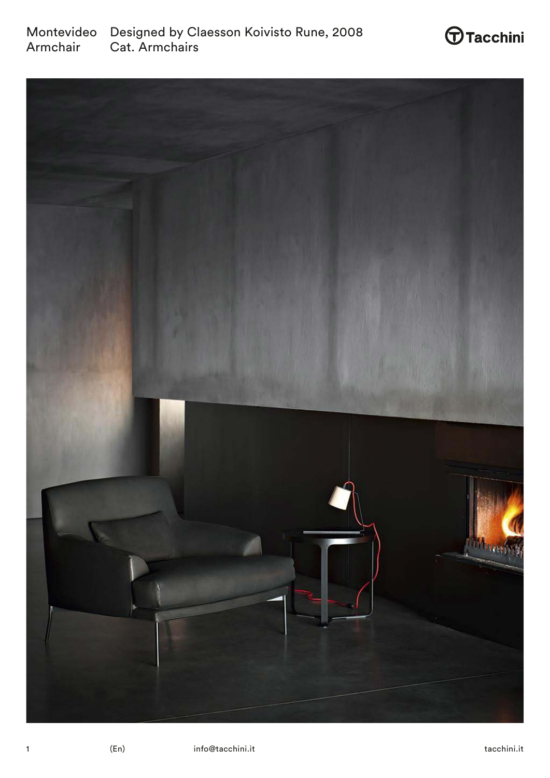



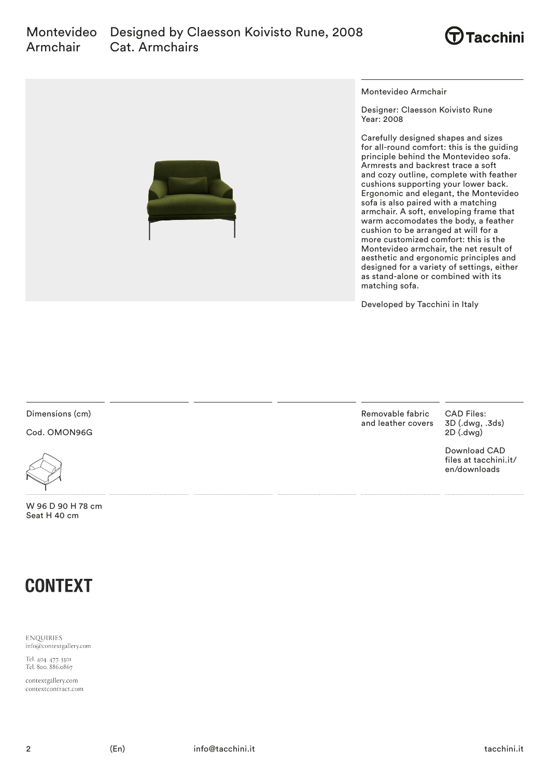



Montevideo Armchair

Designer: Claesson Koivisto Rune Year: 2008

Carefully designed shapes and sizes for all-round comfort: this is the guiding principle behind the Montevideo sofa. Armrests and backrest trace a soft and cozy outline, complete with feather cushions supporting your lower back. Ergonomic and elegant, the Montevideo sofa is also paired with a matching armchair. A soft, enveloping frame that warm accomodates the body, a feather cushion to be arranged at will for a more customized comfort: this is the Montevideo armchair, the net result of aesthetic and ergonomic principles and designed for a variety of settings, either as stand-alone or combined with its matching sofa.

Developed by Tacchini in Italy

Dimensions (cm)

Cod. OMON96G



W 96 D 90 H 78 cm Seat H 40 cm



**ENQUIRIES** info@contextgallery.com

Tel. 404. 477. 3301<br>Tel. 800. 886.0867

contextgallery.com contextcontract.com Removable fabric and leather covers CAD Files: 3D (.dwg, .3ds) 2D (.dwg)

Download CAD files at tacchini.it/ en/downloads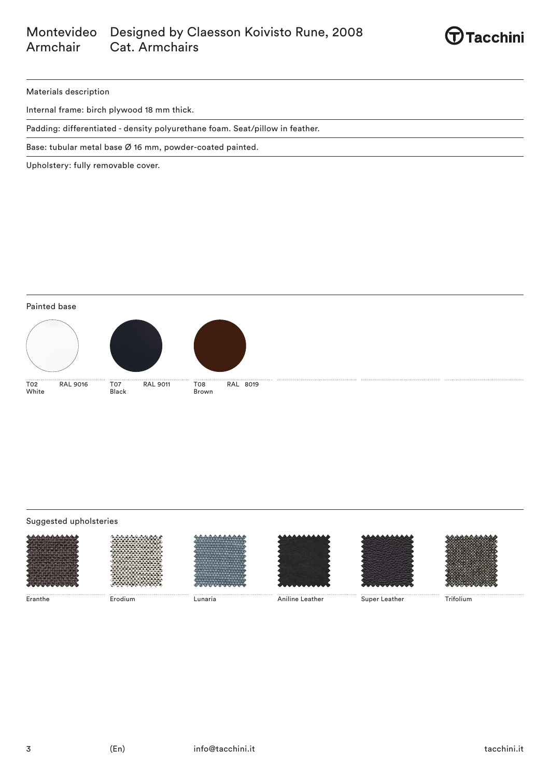#### Montevideo Designed by Claesson Koivisto Rune, 2008 Armchair Cat. Armchairs



Materials description

Internal frame: birch plywood 18 mm thick.

Padding: differentiated - density polyurethane foam. Seat/pillow in feather.

Base: tubular metal base Ø 16 mm, powder-coated painted.

Upholstery: fully removable cover.

Painted base







Brown

T02 RAL 9016 White

T07 RAL 9011 ...<br>Black

T08 RAL 8019

# Suggested upholsteries













Eranthe Erodium Lunaria Aniline Leather Super Leather Trifolium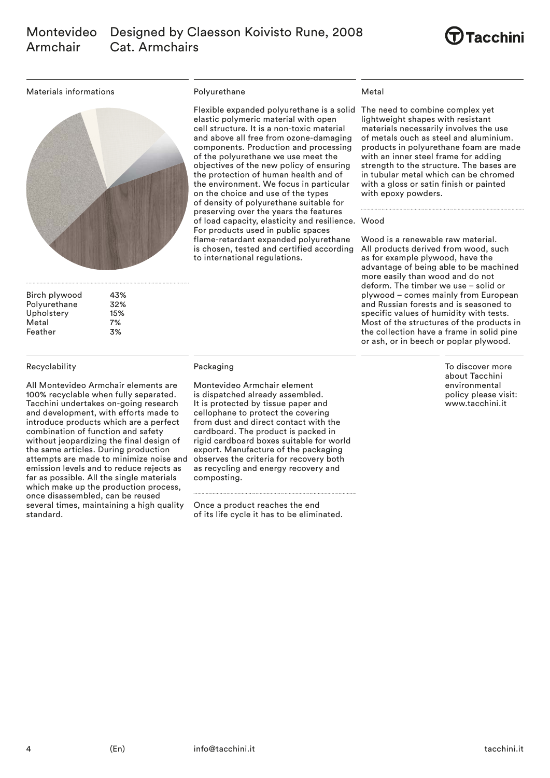

Materials informations



| Birch plywood | 43% |
|---------------|-----|
| Polyurethane  | 32% |
| Upholstery    | 15% |
| Metal         | 7%  |
| Feather       | 3%  |

# Recyclability

All Montevideo Armchair elements are 100% recyclable when fully separated. Tacchini undertakes on-going research and development, with efforts made to introduce products which are a perfect combination of function and safety without jeopardizing the final design of the same articles. During production attempts are made to minimize noise and emission levels and to reduce rejects as far as possible. All the single materials which make up the production process, once disassembled, can be reused several times, maintaining a high quality standard.

#### Polyurethane

Flexible expanded polyurethane is a solid The need to combine complex yet elastic polymeric material with open cell structure. It is a non-toxic material and above all free from ozone-damaging components. Production and processing of the polyurethane we use meet the objectives of the new policy of ensuring the protection of human health and of the environment. We focus in particular on the choice and use of the types of density of polyurethane suitable for preserving over the years the features of load capacity, elasticity and resilience. Wood For products used in public spaces flame-retardant expanded polyurethane is chosen, tested and certified according to international regulations.

### Metal

lightweight shapes with resistant materials necessarily involves the use of metals ouch as steel and aluminium. products in polyurethane foam are made with an inner steel frame for adding strength to the structure. The bases are in tubular metal which can be chromed with a gloss or satin finish or painted with epoxy powders.

Wood is a renewable raw material. All products derived from wood, such as for example plywood, have the advantage of being able to be machined more easily than wood and do not deform. The timber we use – solid or plywood – comes mainly from European and Russian forests and is seasoned to specific values of humidity with tests. Most of the structures of the products in the collection have a frame in solid pine or ash, or in beech or poplar plywood.

> To discover more about Tacchini environmental policy please visit: www.tacchini.it

# Packaging

Montevideo Armchair element is dispatched already assembled. It is protected by tissue paper and cellophane to protect the covering from dust and direct contact with the cardboard. The product is packed in rigid cardboard boxes suitable for world export. Manufacture of the packaging observes the criteria for recovery both as recycling and energy recovery and composting.

Once a product reaches the end of its life cycle it has to be eliminated.